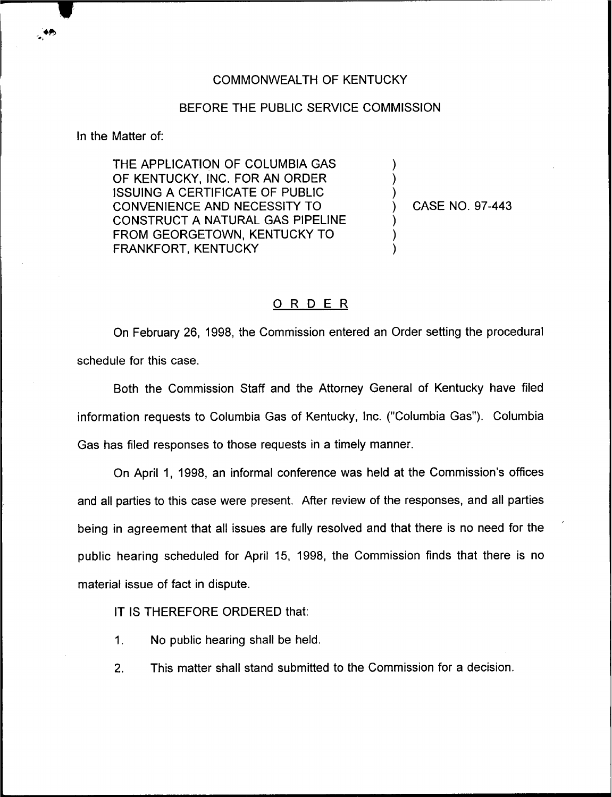## COMMONWEALTH OF KENTUCKY

## BEFORE THE PUBLIC SERVICE COMMISSION

In the Matter of:

THE APPLICATION OF COLUMBIA GAS OF KENTUCKY, INC. FOR AN ORDER ISSUING A CERTIFICATE OF PUBLIC CONVENIENCE AND NECESSITY TO CONSTRUCT A NATURAL GAS PIPELINE FROM GEORGETOWN, KENTUCKY TO FRANKFORT, KENTUCKY

) CASE NO. 97-443

) ) )

) ) )

## 0 <sup>R</sup> <sup>D</sup> <sup>E</sup> <sup>R</sup>

On February 26, 1998, the Commission entered an Order setting the procedural schedule for this case.

Both the Commission Staff and the Attorney General of Kentucky have filed information requests to Columbia Gas of Kentucky, Inc. ("Columbia Gas"). Columbia Gas has filed responses to those requests in a timely manner.

On April 1, 1998, an informal conference was held at the Commission's offices and all parties to this case were present. After review of the responses, and all parties being in agreement that all issues are fully resolved and that there is no need for the public hearing scheduled for April 15, 1998, the Commission finds that there is no material issue of fact in dispute.

IT IS THEREFORE ORDERED that:

- $1<sup>1</sup>$ No public hearing shall be held.
- 2. This matter shall stand submitted to the Commission for a decision.